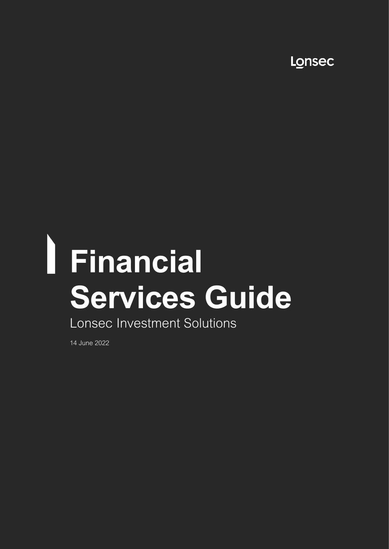Lonsec

# **Financial Services Guide** Lonsec Investment Solutions

14 June 2022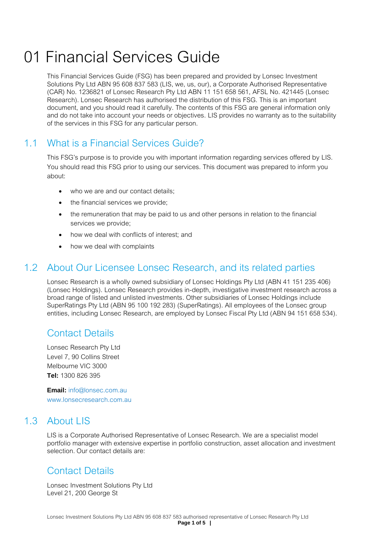## 01 Financial Services Guide

This Financial Services Guide (FSG) has been prepared and provided by Lonsec Investment Solutions Pty Ltd ABN 95 608 837 583 (LIS, we, us, our), a Corporate Authorised Representative (CAR) No. 1236821 of Lonsec Research Pty Ltd ABN 11 151 658 561, AFSL No. 421445 (Lonsec Research). Lonsec Research has authorised the distribution of this FSG. This is an important document, and you should read it carefully. The contents of this FSG are general information only and do not take into account your needs or objectives. LIS provides no warranty as to the suitability of the services in this FSG for any particular person.

#### 1.1 What is a Financial Services Guide?

This FSG's purpose is to provide you with important information regarding services offered by LIS. You should read this FSG prior to using our services. This document was prepared to inform you about:

- who we are and our contact details;
- the financial services we provide;
- the remuneration that may be paid to us and other persons in relation to the financial services we provide;
- how we deal with conflicts of interest; and
- how we deal with complaints

#### 1.2 About Our Licensee Lonsec Research, and its related parties

Lonsec Research is a wholly owned subsidiary of Lonsec Holdings Pty Ltd (ABN 41 151 235 406) (Lonsec Holdings). Lonsec Research provides in-depth, investigative investment research across a broad range of listed and unlisted investments. Other subsidiaries of Lonsec Holdings include SuperRatings Pty Ltd (ABN 95 100 192 283) (SuperRatings). All employees of the Lonsec group entities, including Lonsec Research, are employed by Lonsec Fiscal Pty Ltd (ABN 94 151 658 534).

### Contact Details

Lonsec Research Pty Ltd Level 7, 90 Collins Street Melbourne VIC 3000 **Tel:** 1300 826 395

**Email:** info@lonsec.com.au www.lonsecresearch.com.au

#### 1.3 About LIS

LIS is a Corporate Authorised Representative of Lonsec Research. We are a specialist model portfolio manager with extensive expertise in portfolio construction, asset allocation and investment selection. Our contact details are:

### Contact Details

Lonsec Investment Solutions Pty Ltd Level 21, 200 George St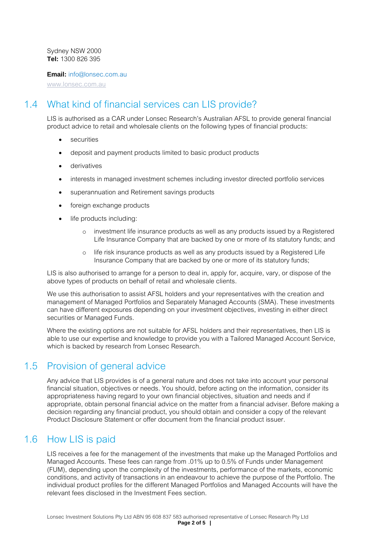Sydney NSW 2000 **Tel:** 1300 826 395

**Email:** info@lonsec.com.au

[www.lonsec.com.au](http://www.lonsec.com.au/)

#### 1.4 What kind of financial services can LIS provide?

LIS is authorised as a CAR under Lonsec Research's Australian AFSL to provide general financial product advice to retail and wholesale clients on the following types of financial products:

- securities
- deposit and payment products limited to basic product products
- derivatives
- interests in managed investment schemes including investor directed portfolio services
- superannuation and Retirement savings products
- foreign exchange products
- life products including:
	- o investment life insurance products as well as any products issued by a Registered Life Insurance Company that are backed by one or more of its statutory funds; and
	- o life risk insurance products as well as any products issued by a Registered Life Insurance Company that are backed by one or more of its statutory funds;

LIS is also authorised to arrange for a person to deal in, apply for, acquire, vary, or dispose of the above types of products on behalf of retail and wholesale clients.

We use this authorisation to assist AFSL holders and your representatives with the creation and management of Managed Portfolios and Separately Managed Accounts (SMA). These investments can have different exposures depending on your investment objectives, investing in either direct securities or Managed Funds.

Where the existing options are not suitable for AFSL holders and their representatives, then LIS is able to use our expertise and knowledge to provide you with a Tailored Managed Account Service, which is backed by research from Lonsec Research.

#### 1.5 Provision of general advice

Any advice that LIS provides is of a general nature and does not take into account your personal financial situation, objectives or needs. You should, before acting on the information, consider its appropriateness having regard to your own financial objectives, situation and needs and if appropriate, obtain personal financial advice on the matter from a financial adviser. Before making a decision regarding any financial product, you should obtain and consider a copy of the relevant Product Disclosure Statement or offer document from the financial product issuer.

#### 1.6 How LIS is paid

LIS receives a fee for the management of the investments that make up the Managed Portfolios and Managed Accounts. These fees can range from .01% up to 0.5% of Funds under Management (FUM), depending upon the complexity of the investments, performance of the markets, economic conditions, and activity of transactions in an endeavour to achieve the purpose of the Portfolio. The individual product profiles for the different Managed Portfolios and Managed Accounts will have the relevant fees disclosed in the Investment Fees section.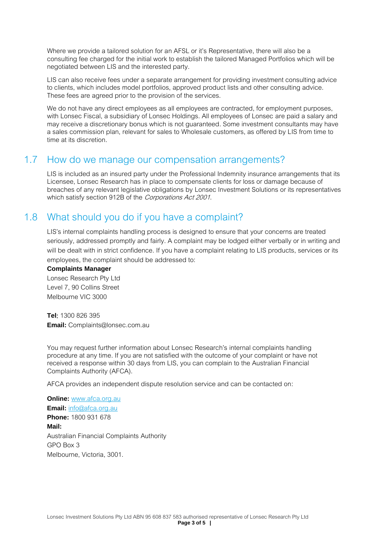Where we provide a tailored solution for an AFSL or it's Representative, there will also be a consulting fee charged for the initial work to establish the tailored Managed Portfolios which will be negotiated between LIS and the interested party.

LIS can also receive fees under a separate arrangement for providing investment consulting advice to clients, which includes model portfolios, approved product lists and other consulting advice. These fees are agreed prior to the provision of the services.

We do not have any direct employees as all employees are contracted, for employment purposes, with Lonsec Fiscal, a subsidiary of Lonsec Holdings. All employees of Lonsec are paid a salary and may receive a discretionary bonus which is not guaranteed. Some investment consultants may have a sales commission plan, relevant for sales to Wholesale customers, as offered by LIS from time to time at its discretion.

#### 1.7 How do we manage our compensation arrangements?

LIS is included as an insured party under the Professional Indemnity insurance arrangements that its Licensee, Lonsec Research has in place to compensate clients for loss or damage because of breaches of any relevant legislative obligations by Lonsec Investment Solutions or its representatives which satisfy section 912B of the Corporations Act 2001.

### 1.8 What should you do if you have a complaint?

LIS's internal complaints handling process is designed to ensure that your concerns are treated seriously, addressed promptly and fairly. A complaint may be lodged either verbally or in writing and will be dealt with in strict confidence. If you have a complaint relating to LIS products, services or its employees, the complaint should be addressed to:

#### **Complaints Manager**

Lonsec Research Pty Ltd Level 7, 90 Collins Street Melbourne VIC 3000

**Tel**: 1300 826 395 **Email:** Complaints@lonsec.com.au

You may request further information about Lonsec Research's internal complaints handling procedure at any time. If you are not satisfied with the outcome of your complaint or have not received a response within 30 days from LIS, you can complain to the Australian Financial Complaints Authority (AFCA).

AFCA provides an independent dispute resolution service and can be contacted on:

**Online:** [www.afca.org.au](http://www.afca.org.au/) **Email:** [info@afca.org.au](mailto:info@afca.org.au) **Phone:** 1800 931 678 **Mail:**  Australian Financial Complaints Authority GPO Box 3 Melbourne, Victoria, 3001.